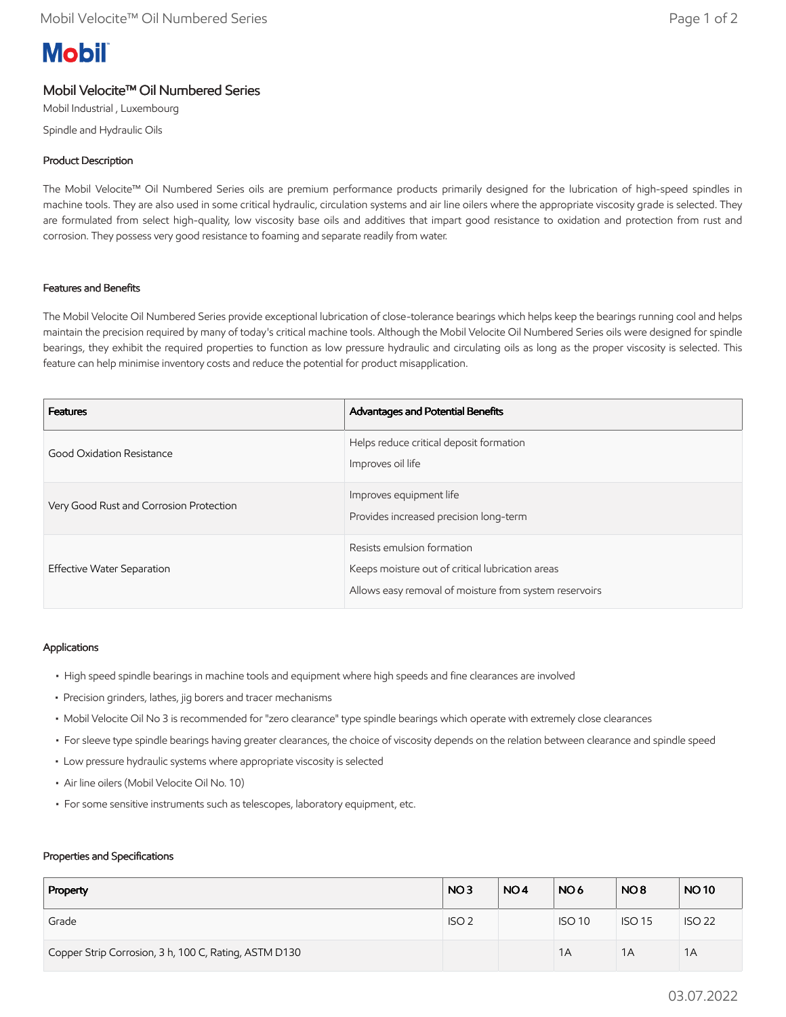# **Mobil**

# Mobil Velocite™ Oil Numbered Series

Mobil Industrial , Luxembourg

Spindle and Hydraulic Oils

## Product Description

The Mobil Velocite™ Oil Numbered Series oils are premium performance products primarily designed for the lubrication of high-speed spindles in machine tools. They are also used in some critical hydraulic, circulation systems and air line oilers where the appropriate viscosity grade is selected. They are formulated from select high-quality, low viscosity base oils and additives that impart good resistance to oxidation and protection from rust and corrosion. They possess very good resistance to foaming and separate readily from water.

### Features and Benefits

The Mobil Velocite Oil Numbered Series provide exceptional lubrication of close-tolerance bearings which helps keep the bearings running cool and helps maintain the precision required by many of today's critical machine tools. Although the Mobil Velocite Oil Numbered Series oils were designed for spindle bearings, they exhibit the required properties to function as low pressure hydraulic and circulating oils as long as the proper viscosity is selected. This feature can help minimise inventory costs and reduce the potential for product misapplication.

| <b>Features</b>                         | <b>Advantages and Potential Benefits</b>                                                                                                 |
|-----------------------------------------|------------------------------------------------------------------------------------------------------------------------------------------|
| Good Oxidation Resistance               | Helps reduce critical deposit formation<br>Improves oil life                                                                             |
| Very Good Rust and Corrosion Protection | Improves equipment life<br>Provides increased precision long-term                                                                        |
| Effective Water Separation              | Resists emulsion formation<br>Keeps moisture out of critical lubrication areas<br>Allows easy removal of moisture from system reservoirs |

### Applications

- High speed spindle bearings in machine tools and equipment where high speeds and fine clearances are involved
- Precision grinders, lathes, jig borers and tracer mechanisms
- Mobil Velocite Oil No 3 is recommended for "zero clearance" type spindle bearings which operate with extremely close clearances
- For sleeve type spindle bearings having greater clearances, the choice of viscosity depends on the relation between clearance and spindle speed
- Low pressure hydraulic systems where appropriate viscosity is selected
- Air line oilers (Mobil Velocite Oil No. 10)
- For some sensitive instruments such as telescopes, laboratory equipment, etc.

#### Properties and Specifications

| Property                                              | NO <sub>3</sub>  | NO <sub>4</sub> | NO <sub>6</sub> | NO <sub>8</sub> | <b>NO10</b>   |
|-------------------------------------------------------|------------------|-----------------|-----------------|-----------------|---------------|
| Grade                                                 | ISO <sub>2</sub> |                 | <b>ISO 10</b>   | <b>ISO 15</b>   | <b>ISO 22</b> |
| Copper Strip Corrosion, 3 h, 100 C, Rating, ASTM D130 |                  |                 | 1A              | 1A              | 1A            |